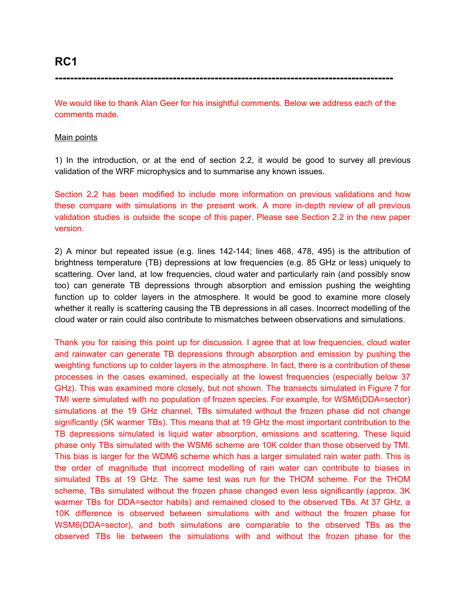**-----------------------------------------------------------------------------------------**

We would like to thank Alan Geer for his insightful comments. Below we address each of the comments made.

#### Main points

1) In the introduction, or at the end of section 2.2, it would be good to survey all previous validation of the WRF microphysics and to summarise any known issues.

Section 2.2 has been modified to include more information on previous validations and how these compare with simulations in the present work. A more in-depth review of all previous validation studies is outside the scope of this paper. Please see Section 2.2 in the new paper version.

2) A minor but repeated issue (e.g. lines 142-144; lines 468, 478, 495) is the attribution of brightness temperature (TB) depressions at low frequencies (e.g. 85 GHz or less) uniquely to scattering. Over land, at low frequencies, cloud water and particularly rain (and possibly snow too) can generate TB depressions through absorption and emission pushing the weighting function up to colder layers in the atmosphere. It would be good to examine more closely whether it really is scattering causing the TB depressions in all cases. Incorrect modelling of the cloud water or rain could also contribute to mismatches between observations and simulations.

Thank you for raising this point up for discussion. I agree that at low frequencies, cloud water and rainwater can generate TB depressions through absorption and emission by pushing the weighting functions up to colder layers in the atmosphere. In fact, there is a contribution of these processes in the cases examined, especially at the lowest frequencies (especially below 37 GHz). This was examined more closely, but not shown. The transects simulated in Figure 7 for TMI were simulated with no population of frozen species. For example, for WSM6(DDA=sector) simulations at the 19 GHz channel, TBs simulated without the frozen phase did not change significantly (5K warmer TBs). This means that at 19 GHz the most important contribution to the TB depressions simulated is liquid water absorption, emissions and scattering. These liquid phase only TBs simulated with the WSM6 scheme are 10K colder than those observed by TMI. This bias is larger for the WDM6 scheme which has a larger simulated rain water path. This is the order of magnitude that incorrect modelling of rain water can contribute to biases in simulated TBs at 19 GHz. The same test was run for the THOM scheme. For the THOM scheme, TBs simulated without the frozen phase changed even less significantly (approx. 3K warmer TBs for DDA=sector habits) and remained closed to the observed TBs. At 37 GHz, a 10K difference is observed between simulations with and without the frozen phase for WSM6(DDA=sector), and both simulations are comparable to the observed TBs as the observed TBs lie between the simulations with and without the frozen phase for the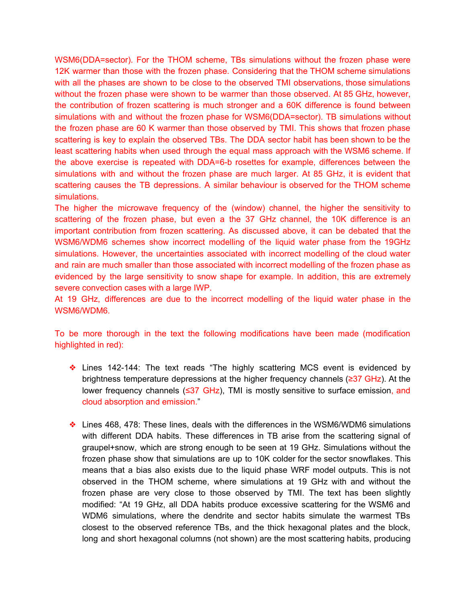WSM6(DDA=sector). For the THOM scheme, TBs simulations without the frozen phase were 12K warmer than those with the frozen phase. Considering that the THOM scheme simulations with all the phases are shown to be close to the observed TMI observations, those simulations without the frozen phase were shown to be warmer than those observed. At 85 GHz, however, the contribution of frozen scattering is much stronger and a 60K difference is found between simulations with and without the frozen phase for WSM6(DDA=sector). TB simulations without the frozen phase are 60 K warmer than those observed by TMI. This shows that frozen phase scattering is key to explain the observed TBs. The DDA sector habit has been shown to be the least scattering habits when used through the equal mass approach with the WSM6 scheme. If the above exercise is repeated with DDA=6-b rosettes for example, differences between the simulations with and without the frozen phase are much larger. At 85 GHz, it is evident that scattering causes the TB depressions. A similar behaviour is observed for the THOM scheme simulations.

The higher the microwave frequency of the (window) channel, the higher the sensitivity to scattering of the frozen phase, but even a the 37 GHz channel, the 10K difference is an important contribution from frozen scattering. As discussed above, it can be debated that the WSM6/WDM6 schemes show incorrect modelling of the liquid water phase from the 19GHz simulations. However, the uncertainties associated with incorrect modelling of the cloud water and rain are much smaller than those associated with incorrect modelling of the frozen phase as evidenced by the large sensitivity to snow shape for example. In addition, this are extremely severe convection cases with a large IWP.

At 19 GHz, differences are due to the incorrect modelling of the liquid water phase in the WSM6/WDM6.

To be more thorough in the text the following modifications have been made (modification highlighted in red):

- ❖ Lines 142-144: The text reads "The highly scattering MCS event is evidenced by brightness temperature depressions at the higher frequency channels (≥37 GHz). At the lower frequency channels (≤37 GHz), TMI is mostly sensitive to surface emission, and cloud absorption and emission."
- ❖ Lines 468, 478: These lines, deals with the differences in the WSM6/WDM6 simulations with different DDA habits. These differences in TB arise from the scattering signal of graupel+snow, which are strong enough to be seen at 19 GHz. Simulations without the frozen phase show that simulations are up to 10K colder for the sector snowflakes. This means that a bias also exists due to the liquid phase WRF model outputs. This is not observed in the THOM scheme, where simulations at 19 GHz with and without the frozen phase are very close to those observed by TMI. The text has been slightly modified: "At 19 GHz, all DDA habits produce excessive scattering for the WSM6 and WDM6 simulations, where the dendrite and sector habits simulate the warmest TBs closest to the observed reference TBs, and the thick hexagonal plates and the block, long and short hexagonal columns (not shown) are the most scattering habits, producing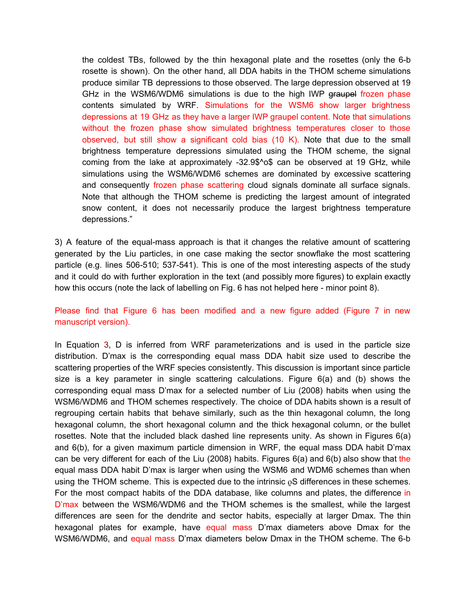the coldest TBs, followed by the thin hexagonal plate and the rosettes (only the 6-b rosette is shown). On the other hand, all DDA habits in the THOM scheme simulations produce similar TB depressions to those observed. The large depression observed at 19 GHz in the WSM6/WDM6 simulations is due to the high IWP graupel frozen phase contents simulated by WRF. Simulations for the WSM6 show larger brightness depressions at 19 GHz as they have a larger IWP graupel content. Note that simulations without the frozen phase show simulated brightness temperatures closer to those observed, but still show a significant cold bias (10 K). Note that due to the small brightness temperature depressions simulated using the THOM scheme, the signal coming from the lake at approximately -32.9\$^o\$ can be observed at 19 GHz, while simulations using the WSM6/WDM6 schemes are dominated by excessive scattering and consequently frozen phase scattering cloud signals dominate all surface signals. Note that although the THOM scheme is predicting the largest amount of integrated snow content, it does not necessarily produce the largest brightness temperature depressions."

3) A feature of the equal-mass approach is that it changes the relative amount of scattering generated by the Liu particles, in one case making the sector snowflake the most scattering particle (e.g. lines 506-510; 537-541). This is one of the most interesting aspects of the study and it could do with further exploration in the text (and possibly more figures) to explain exactly how this occurs (note the lack of labelling on Fig. 6 has not helped here - minor point 8).

Please find that Figure 6 has been modified and a new figure added (Figure 7 in new manuscript version).

In Equation 3, D is inferred from WRF parameterizations and is used in the particle size distribution. D'max is the corresponding equal mass DDA habit size used to describe the scattering properties of the WRF species consistently. This discussion is important since particle size is a key parameter in single scattering calculations. Figure 6(a) and (b) shows the corresponding equal mass D'max for a selected number of Liu (2008) habits when using the WSM6/WDM6 and THOM schemes respectively. The choice of DDA habits shown is a result of regrouping certain habits that behave similarly, such as the thin hexagonal column, the long hexagonal column, the short hexagonal column and the thick hexagonal column, or the bullet rosettes. Note that the included black dashed line represents unity. As shown in Figures 6(a) and 6(b), for a given maximum particle dimension in WRF, the equal mass DDA habit D'max can be very different for each of the Liu (2008) habits. Figures  $6(a)$  and  $6(b)$  also show that the equal mass DDA habit D'max is larger when using the WSM6 and WDM6 schemes than when using the THOM scheme. This is expected due to the intrinsic  $\rho S$  differences in these schemes. For the most compact habits of the DDA database, like columns and plates, the difference in D'max between the WSM6/WDM6 and the THOM schemes is the smallest, while the largest differences are seen for the dendrite and sector habits, especially at larger Dmax. The thin hexagonal plates for example, have equal mass D'max diameters above Dmax for the WSM6/WDM6, and equal mass D'max diameters below Dmax in the THOM scheme. The 6-b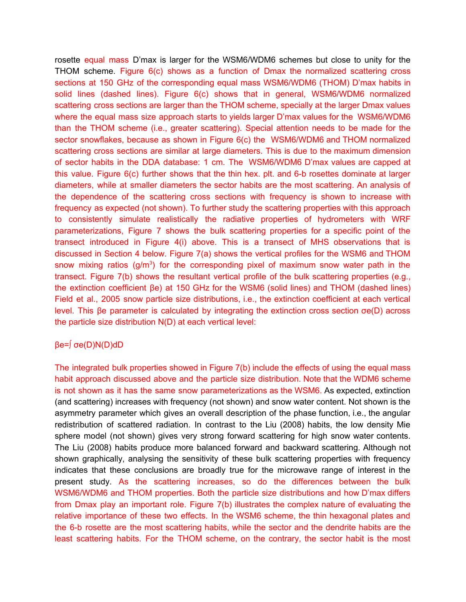rosette equal mass D'max is larger for the WSM6/WDM6 schemes but close to unity for the THOM scheme. Figure 6(c) shows as a function of Dmax the normalized scattering cross sections at 150 GHz of the corresponding equal mass WSM6/WDM6 (THOM) D'max habits in solid lines (dashed lines). Figure 6(c) shows that in general, WSM6/WDM6 normalized scattering cross sections are larger than the THOM scheme, specially at the larger Dmax values where the equal mass size approach starts to yields larger D'max values for the WSM6/WDM6 than the THOM scheme (i.e., greater scattering). Special attention needs to be made for the sector snowflakes, because as shown in Figure 6(c) the WSM6/WDM6 and THOM normalized scattering cross sections are similar at large diameters. This is due to the maximum dimension of sector habits in the DDA database: 1 cm. The WSM6/WDM6 D'max values are capped at this value. Figure 6(c) further shows that the thin hex. plt. and 6-b rosettes dominate at larger diameters, while at smaller diameters the sector habits are the most scattering. An analysis of the dependence of the scattering cross sections with frequency is shown to increase with frequency as expected (not shown). To further study the scattering properties with this approach to consistently simulate realistically the radiative properties of hydrometers with WRF parameterizations, Figure 7 shows the bulk scattering properties for a specific point of the transect introduced in Figure 4(i) above. This is a transect of MHS observations that is discussed in Section 4 below. Figure 7(a) shows the vertical profiles for the WSM6 and THOM snow mixing ratios  $(g/m<sup>3</sup>)$  for the corresponding pixel of maximum snow water path in the transect. Figure 7(b) shows the resultant vertical profile of the bulk scattering properties (e.g., the extinction coefficient βe) at 150 GHz for the WSM6 (solid lines) and THOM (dashed lines) Field et al., 2005 snow particle size distributions, i.e., the extinction coefficient at each vertical level. This βe parameter is calculated by integrating the extinction cross section σe(D) across the particle size distribution N(D) at each vertical level:

# βe=∫ σe(D)N(D)dD

The integrated bulk properties showed in Figure 7(b) include the effects of using the equal mass habit approach discussed above and the particle size distribution. Note that the WDM6 scheme is not shown as it has the same snow parameterizations as the WSM6. As expected, extinction (and scattering) increases with frequency (not shown) and snow water content. Not shown is the asymmetry parameter which gives an overall description of the phase function, i.e., the angular redistribution of scattered radiation. In contrast to the Liu (2008) habits, the low density Mie sphere model (not shown) gives very strong forward scattering for high snow water contents. The Liu (2008) habits produce more balanced forward and backward scattering. Although not shown graphically, analysing the sensitivity of these bulk scattering properties with frequency indicates that these conclusions are broadly true for the microwave range of interest in the present study. As the scattering increases, so do the differences between the bulk WSM6/WDM6 and THOM properties. Both the particle size distributions and how D'max differs from Dmax play an important role. Figure 7(b) illustrates the complex nature of evaluating the relative importance of these two effects. In the WSM6 scheme, the thin hexagonal plates and the 6-b rosette are the most scattering habits, while the sector and the dendrite habits are the least scattering habits. For the THOM scheme, on the contrary, the sector habit is the most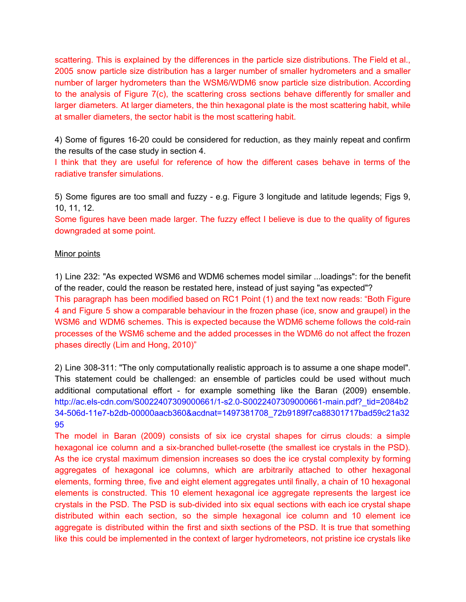scattering. This is explained by the differences in the particle size distributions. The Field et al., 2005 snow particle size distribution has a larger number of smaller hydrometers and a smaller number of larger hydrometers than the WSM6/WDM6 snow particle size distribution. According to the analysis of Figure 7(c), the scattering cross sections behave differently for smaller and larger diameters. At larger diameters, the thin hexagonal plate is the most scattering habit, while at smaller diameters, the sector habit is the most scattering habit.

4) Some of figures 16-20 could be considered for reduction, as they mainly repeat and confirm the results of the case study in section 4.

I think that they are useful for reference of how the different cases behave in terms of the radiative transfer simulations.

5) Some figures are too small and fuzzy - e.g. Figure 3 longitude and latitude legends; Figs 9, 10, 11, 12.

Some figures have been made larger. The fuzzy effect I believe is due to the quality of figures downgraded at some point.

### **Minor points**

1) Line 232: "As expected WSM6 and WDM6 schemes model similar ...loadings": for the benefit of the reader, could the reason be restated here, instead of just saying "as expected"? This paragraph has been modified based on RC1 Point (1) and the text now reads: "Both Figure 4 and Figure 5 show a comparable behaviour in the frozen phase (ice, snow and graupel) in the WSM6 and WDM6 schemes. This is expected because the WDM6 scheme follows the cold-rain processes of the WSM6 scheme and the added processes in the WDM6 do not affect the frozen phases directly (Lim and Hong, 2010)"

2) Line 308-311: "The only computationally realistic approach is to assume a one shape model". This statement could be challenged: an ensemble of particles could be used without much additional computational effort - for example something like the Baran (2009) ensemble. http://ac.els-cdn.com/S0022407309000661/1-s2.0-S0022407309000661-main.pdf?\_tid=2084b2 34-506d-11e7-b2db-00000aacb360&acdnat=1497381708\_72b9189f7ca88301717bad59c21a32 95

The model in Baran (2009) consists of six ice crystal shapes for cirrus clouds: a simple hexagonal ice column and a six-branched bullet-rosette (the smallest ice crystals in the PSD). As the ice crystal maximum dimension increases so does the ice crystal complexity by forming aggregates of hexagonal ice columns, which are arbitrarily attached to other hexagonal elements, forming three, five and eight element aggregates until finally, a chain of 10 hexagonal elements is constructed. This 10 element hexagonal ice aggregate represents the largest ice crystals in the PSD. The PSD is sub-divided into six equal sections with each ice crystal shape distributed within each section, so the simple hexagonal ice column and 10 element ice aggregate is distributed within the first and sixth sections of the PSD. It is true that something like this could be implemented in the context of larger hydrometeors, not pristine ice crystals like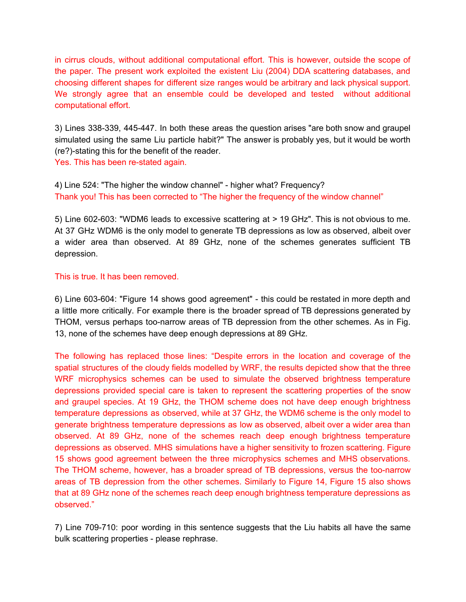in cirrus clouds, without additional computational effort. This is however, outside the scope of the paper. The present work exploited the existent Liu (2004) DDA scattering databases, and choosing different shapes for different size ranges would be arbitrary and lack physical support. We strongly agree that an ensemble could be developed and tested without additional computational effort.

3) Lines 338-339, 445-447. In both these areas the question arises "are both snow and graupel simulated using the same Liu particle habit?" The answer is probably yes, but it would be worth (re?)-stating this for the benefit of the reader.

Yes. This has been re-stated again.

4) Line 524: "The higher the window channel" - higher what? Frequency? Thank you! This has been corrected to "The higher the frequency of the window channel"

5) Line 602-603: "WDM6 leads to excessive scattering at > 19 GHz". This is not obvious to me. At 37 GHz WDM6 is the only model to generate TB depressions as low as observed, albeit over a wider area than observed. At 89 GHz, none of the schemes generates sufficient TB depression.

This is true. It has been removed.

6) Line 603-604: "Figure 14 shows good agreement" - this could be restated in more depth and a little more critically. For example there is the broader spread of TB depressions generated by THOM, versus perhaps too-narrow areas of TB depression from the other schemes. As in Fig. 13, none of the schemes have deep enough depressions at 89 GHz.

The following has replaced those lines: "Despite errors in the location and coverage of the spatial structures of the cloudy fields modelled by WRF, the results depicted show that the three WRF microphysics schemes can be used to simulate the observed brightness temperature depressions provided special care is taken to represent the scattering properties of the snow and graupel species. At 19 GHz, the THOM scheme does not have deep enough brightness temperature depressions as observed, while at 37 GHz, the WDM6 scheme is the only model to generate brightness temperature depressions as low as observed, albeit over a wider area than observed. At 89 GHz, none of the schemes reach deep enough brightness temperature depressions as observed. MHS simulations have a higher sensitivity to frozen scattering. Figure 15 shows good agreement between the three microphysics schemes and MHS observations. The THOM scheme, however, has a broader spread of TB depressions, versus the too-narrow areas of TB depression from the other schemes. Similarly to Figure 14, Figure 15 also shows that at 89 GHz none of the schemes reach deep enough brightness temperature depressions as observed."

7) Line 709-710: poor wording in this sentence suggests that the Liu habits all have the same bulk scattering properties - please rephrase.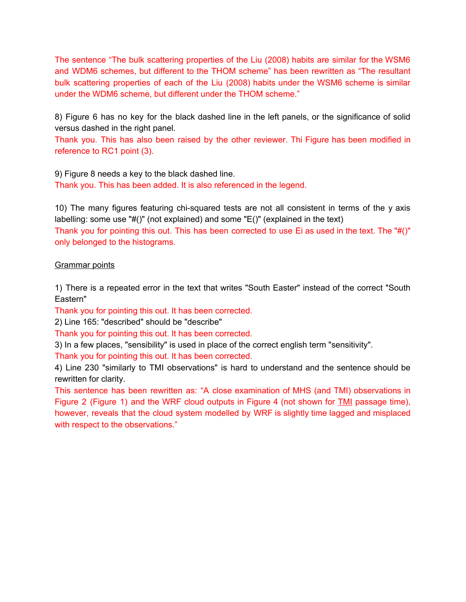The sentence "The bulk scattering properties of the Liu (2008) habits are similar for the WSM6 and WDM6 schemes, but different to the THOM scheme" has been rewritten as "The resultant bulk scattering properties of each of the Liu (2008) habits under the WSM6 scheme is similar under the WDM6 scheme, but different under the THOM scheme."

8) Figure 6 has no key for the black dashed line in the left panels, or the significance of solid versus dashed in the right panel.

Thank you. This has also been raised by the other reviewer. Thi Figure has been modified in reference to RC1 point (3).

9) Figure 8 needs a key to the black dashed line. Thank you. This has been added. It is also referenced in the legend.

10) The many figures featuring chi-squared tests are not all consistent in terms of the y axis labelling: some use "#()" (not explained) and some "E()" (explained in the text) Thank you for pointing this out. This has been corrected to use Ei as used in the text. The "#()" only belonged to the histograms.

# Grammar points

1) There is a repeated error in the text that writes "South Easter" instead of the correct "South Eastern"

Thank you for pointing this out. It has been corrected.

2) Line 165: "described" should be "describe"

Thank you for pointing this out. It has been corrected.

3) In a few places, "sensibility" is used in place of the correct english term "sensitivity".

Thank you for pointing this out. It has been corrected.

4) Line 230 "similarly to TMI observations" is hard to understand and the sentence should be rewritten for clarity.

This sentence has been rewritten as: "A close examination of MHS (and TMI) observations in Figure 2 (Figure 1) and the WRF cloud outputs in Figure 4 (not shown for TMI passage time), however, reveals that the cloud system modelled by WRF is slightly time lagged and misplaced with respect to the observations."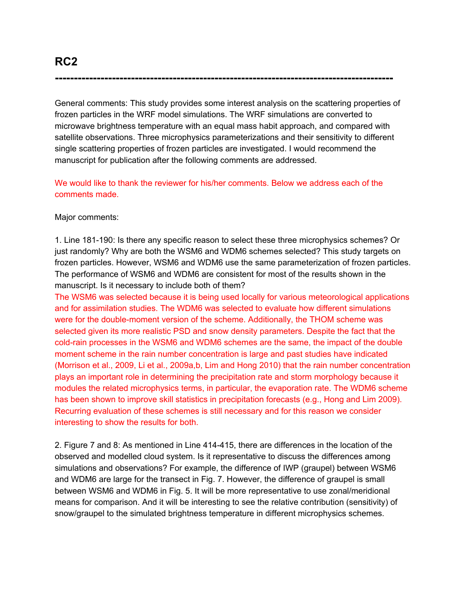General comments: This study provides some interest analysis on the scattering properties of frozen particles in the WRF model simulations. The WRF simulations are converted to microwave brightness temperature with an equal mass habit approach, and compared with satellite observations. Three microphysics parameterizations and their sensitivity to different single scattering properties of frozen particles are investigated. I would recommend the manuscript for publication after the following comments are addressed.

**-----------------------------------------------------------------------------------------**

We would like to thank the reviewer for his/her comments. Below we address each of the comments made.

Major comments:

1. Line 181-190: Is there any specific reason to select these three microphysics schemes? Or just randomly? Why are both the WSM6 and WDM6 schemes selected? This study targets on frozen particles. However, WSM6 and WDM6 use the same parameterization of frozen particles. The performance of WSM6 and WDM6 are consistent for most of the results shown in the manuscript. Is it necessary to include both of them?

The WSM6 was selected because it is being used locally for various meteorological applications and for assimilation studies. The WDM6 was selected to evaluate how different simulations were for the double-moment version of the scheme. Additionally, the THOM scheme was selected given its more realistic PSD and snow density parameters. Despite the fact that the cold-rain processes in the WSM6 and WDM6 schemes are the same, the impact of the double moment scheme in the rain number concentration is large and past studies have indicated (Morrison et al., 2009, Li et al., 2009a,b, Lim and Hong 2010) that the rain number concentration plays an important role in determining the precipitation rate and storm morphology because it modules the related microphysics terms, in particular, the evaporation rate. The WDM6 scheme has been shown to improve skill statistics in precipitation forecasts (e.g., Hong and Lim 2009). Recurring evaluation of these schemes is still necessary and for this reason we consider interesting to show the results for both.

2. Figure 7 and 8: As mentioned in Line 414-415, there are differences in the location of the observed and modelled cloud system. Is it representative to discuss the differences among simulations and observations? For example, the difference of IWP (graupel) between WSM6 and WDM6 are large for the transect in Fig. 7. However, the difference of graupel is small between WSM6 and WDM6 in Fig. 5. It will be more representative to use zonal/meridional means for comparison. And it will be interesting to see the relative contribution (sensitivity) of snow/graupel to the simulated brightness temperature in different microphysics schemes.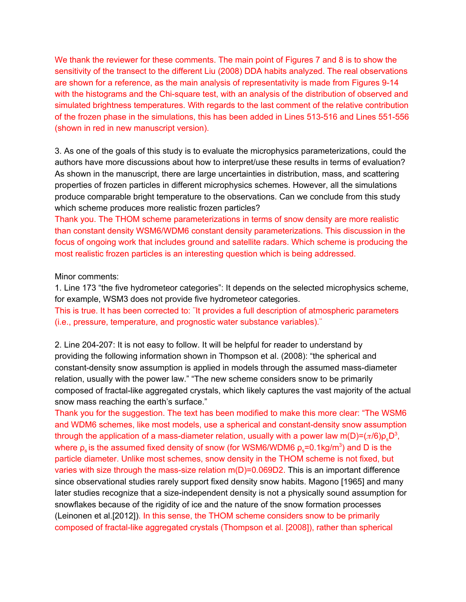We thank the reviewer for these comments. The main point of Figures 7 and 8 is to show the sensitivity of the transect to the different Liu (2008) DDA habits analyzed. The real observations are shown for a reference, as the main analysis of representativity is made from Figures 9-14 with the histograms and the Chi-square test, with an analysis of the distribution of observed and simulated brightness temperatures. With regards to the last comment of the relative contribution of the frozen phase in the simulations, this has been added in Lines 513-516 and Lines 551-556 (shown in red in new manuscript version).

3. As one of the goals of this study is to evaluate the microphysics parameterizations, could the authors have more discussions about how to interpret/use these results in terms of evaluation? As shown in the manuscript, there are large uncertainties in distribution, mass, and scattering properties of frozen particles in different microphysics schemes. However, all the simulations produce comparable bright temperature to the observations. Can we conclude from this study which scheme produces more realistic frozen particles?

Thank you. The THOM scheme parameterizations in terms of snow density are more realistic than constant density WSM6/WDM6 constant density parameterizations. This discussion in the focus of ongoing work that includes ground and satellite radars. Which scheme is producing the most realistic frozen particles is an interesting question which is being addressed.

#### Minor comments:

1. Line 173 "the five hydrometeor categories": It depends on the selected microphysics scheme, for example, WSM3 does not provide five hydrometeor categories.

This is true. It has been corrected to: ¨It provides a full description of atmospheric parameters (i.e., pressure, temperature, and prognostic water substance variables).¨

2. Line 204-207: It is not easy to follow. It will be helpful for reader to understand by providing the following information shown in Thompson et al. (2008): "the spherical and constant-density snow assumption is applied in models through the assumed mass-diameter relation, usually with the power law." "The new scheme considers snow to be primarily composed of fractal-like aggregated crystals, which likely captures the vast majority of the actual snow mass reaching the earth's surface."

Thank you for the suggestion. The text has been modified to make this more clear: "The WSM6 and WDM6 schemes, like most models, use a spherical and constant-density snow assumption through the application of a mass-diameter relation, usually with a power law m(D)=( $\pi$ /6) $\rho_{\rm s}$ D $^{\rm 3}$ , where  $\rho_{\rm s}$  is the assumed fixed density of snow (for WSM6/WDM6  $\rho_{\rm s}$ =0.1kg/m $^3$ ) and D is the particle diameter. Unlike most schemes, snow density in the THOM scheme is not fixed, but varies with size through the mass-size relation m(D)=0.069D2. This is an important difference since observational studies rarely support fixed density snow habits. Magono [1965] and many later studies recognize that a size-independent density is not a physically sound assumption for snowflakes because of the rigidity of ice and the nature of the snow formation processes (Leinonen et al.[2012]). In this sense, the THOM scheme considers snow to be primarily composed of fractal-like aggregated crystals (Thompson et al. [2008]), rather than spherical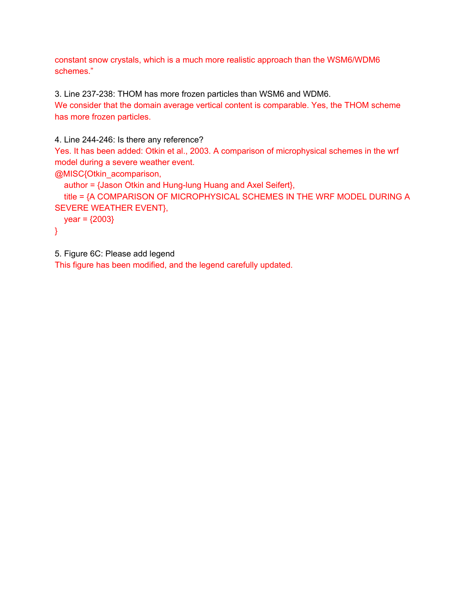constant snow crystals, which is a much more realistic approach than the WSM6/WDM6 schemes."

3. Line 237-238: THOM has more frozen particles than WSM6 and WDM6. We consider that the domain average vertical content is comparable. Yes, the THOM scheme has more frozen particles.

```
4. Line 244-246: Is there any reference?
Yes. It has been added: Otkin et al., 2003. A comparison of microphysical schemes in the wrf
model during a severe weather event.
@MISC{Otkin_acomparison,
  author = {Jason Otkin and Hung-lung Huang and Axel Seifert},
  title = {A COMPARISON OF MICROPHYSICAL SCHEMES IN THE WRF MODEL DURING A
SEVERE WEATHER EVENT},
  year = {2003}}
```
5. Figure 6C: Please add legend

This figure has been modified, and the legend carefully updated.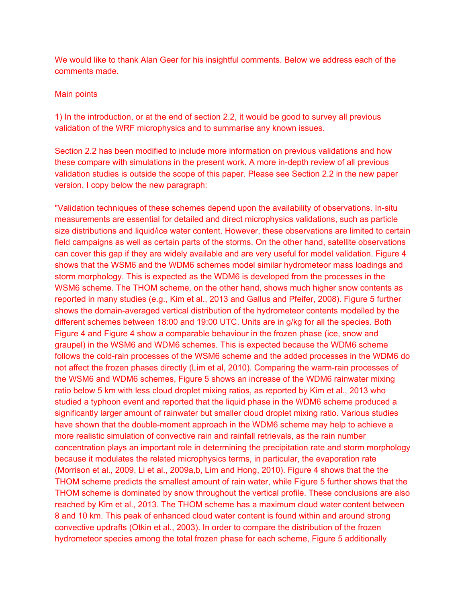We would like to thank Alan Geer for his insightful comments. Below we address each of the comments made.

### Main points

1) In the introduction, or at the end of section 2.2, it would be good to survey all previous validation of the WRF microphysics and to summarise any known issues.

Section 2.2 has been modified to include more information on previous validations and how these compare with simulations in the present work. A more in-depth review of all previous validation studies is outside the scope of this paper. Please see Section 2.2 in the new paper version. I copy below the new paragraph:

"Validation techniques of these schemes depend upon the availability of observations. In-situ measurements are essential for detailed and direct microphysics validations, such as particle size distributions and liquid/ice water content. However, these observations are limited to certain field campaigns as well as certain parts of the storms. On the other hand, satellite observations can cover this gap if they are widely available and are very useful for model validation. Figure 4 shows that the WSM6 and the WDM6 schemes model similar hydrometeor mass loadings and storm morphology. This is expected as the WDM6 is developed from the processes in the WSM6 scheme. The THOM scheme, on the other hand, shows much higher snow contents as reported in many studies (e.g., Kim et al., 2013 and Gallus and Pfeifer, 2008). Figure 5 further shows the domain-averaged vertical distribution of the hydrometeor contents modelled by the different schemes between 18:00 and 19:00 UTC. Units are in g/kg for all the species. Both Figure 4 and Figure 4 show a comparable behaviour in the frozen phase (ice, snow and graupel) in the WSM6 and WDM6 schemes. This is expected because the WDM6 scheme follows the cold-rain processes of the WSM6 scheme and the added processes in the WDM6 do not affect the frozen phases directly (Lim et al, 2010). Comparing the warm-rain processes of the WSM6 and WDM6 schemes, Figure 5 shows an increase of the WDM6 rainwater mixing ratio below 5 km with less cloud droplet mixing ratios, as reported by Kim et al., 2013 who studied a typhoon event and reported that the liquid phase in the WDM6 scheme produced a significantly larger amount of rainwater but smaller cloud droplet mixing ratio. Various studies have shown that the double-moment approach in the WDM6 scheme may help to achieve a more realistic simulation of convective rain and rainfall retrievals, as the rain number concentration plays an important role in determining the precipitation rate and storm morphology because it modulates the related microphysics terms, in particular, the evaporation rate (Morrison et al., 2009, Li et al., 2009a,b, Lim and Hong, 2010). Figure 4 shows that the the THOM scheme predicts the smallest amount of rain water, while Figure 5 further shows that the THOM scheme is dominated by snow throughout the vertical profile. These conclusions are also reached by Kim et al., 2013. The THOM scheme has a maximum cloud water content between 8 and 10 km. This peak of enhanced cloud water content is found within and around strong convective updrafts (Otkin et al., 2003). In order to compare the distribution of the frozen hydrometeor species among the total frozen phase for each scheme, Figure 5 additionally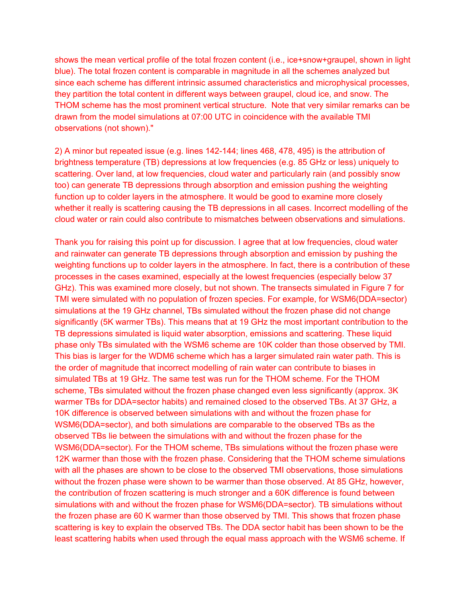shows the mean vertical profile of the total frozen content (i.e., ice+snow+graupel, shown in light blue). The total frozen content is comparable in magnitude in all the schemes analyzed but since each scheme has different intrinsic assumed characteristics and microphysical processes, they partition the total content in different ways between graupel, cloud ice, and snow. The THOM scheme has the most prominent vertical structure. Note that very similar remarks can be drawn from the model simulations at 07:00 UTC in coincidence with the available TMI observations (not shown)."

2) A minor but repeated issue (e.g. lines 142-144; lines 468, 478, 495) is the attribution of brightness temperature (TB) depressions at low frequencies (e.g. 85 GHz or less) uniquely to scattering. Over land, at low frequencies, cloud water and particularly rain (and possibly snow too) can generate TB depressions through absorption and emission pushing the weighting function up to colder layers in the atmosphere. It would be good to examine more closely whether it really is scattering causing the TB depressions in all cases. Incorrect modelling of the cloud water or rain could also contribute to mismatches between observations and simulations.

Thank you for raising this point up for discussion. I agree that at low frequencies, cloud water and rainwater can generate TB depressions through absorption and emission by pushing the weighting functions up to colder layers in the atmosphere. In fact, there is a contribution of these processes in the cases examined, especially at the lowest frequencies (especially below 37 GHz). This was examined more closely, but not shown. The transects simulated in Figure 7 for TMI were simulated with no population of frozen species. For example, for WSM6(DDA=sector) simulations at the 19 GHz channel, TBs simulated without the frozen phase did not change significantly (5K warmer TBs). This means that at 19 GHz the most important contribution to the TB depressions simulated is liquid water absorption, emissions and scattering. These liquid phase only TBs simulated with the WSM6 scheme are 10K colder than those observed by TMI. This bias is larger for the WDM6 scheme which has a larger simulated rain water path. This is the order of magnitude that incorrect modelling of rain water can contribute to biases in simulated TBs at 19 GHz. The same test was run for the THOM scheme. For the THOM scheme, TBs simulated without the frozen phase changed even less significantly (approx. 3K warmer TBs for DDA=sector habits) and remained closed to the observed TBs. At 37 GHz, a 10K difference is observed between simulations with and without the frozen phase for WSM6(DDA=sector), and both simulations are comparable to the observed TBs as the observed TBs lie between the simulations with and without the frozen phase for the WSM6(DDA=sector). For the THOM scheme, TBs simulations without the frozen phase were 12K warmer than those with the frozen phase. Considering that the THOM scheme simulations with all the phases are shown to be close to the observed TMI observations, those simulations without the frozen phase were shown to be warmer than those observed. At 85 GHz, however, the contribution of frozen scattering is much stronger and a 60K difference is found between simulations with and without the frozen phase for WSM6(DDA=sector). TB simulations without the frozen phase are 60 K warmer than those observed by TMI. This shows that frozen phase scattering is key to explain the observed TBs. The DDA sector habit has been shown to be the least scattering habits when used through the equal mass approach with the WSM6 scheme. If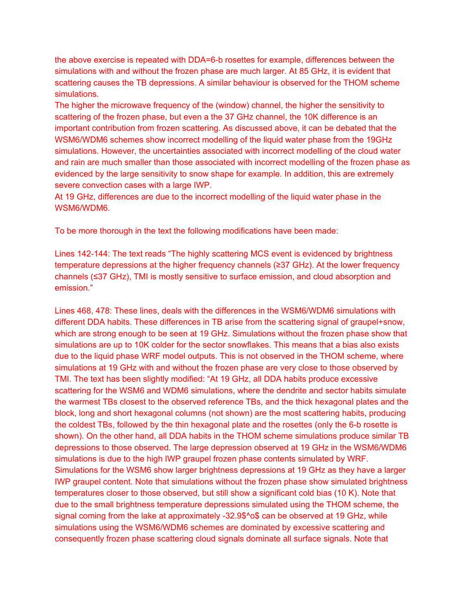the above exercise is repeated with DDA=6-b rosettes for example, differences between the simulations with and without the frozen phase are much larger. At 85 GHz, it is evident that scattering causes the TB depressions. A similar behaviour is observed for the THOM scheme simulations.

The higher the microwave frequency of the (window) channel, the higher the sensitivity to scattering of the frozen phase, but even a the 37 GHz channel, the 10K difference is an important contribution from frozen scattering. As discussed above, it can be debated that the WSM6/WDM6 schemes show incorrect modelling of the liquid water phase from the 19GHz simulations. However, the uncertainties associated with incorrect modelling of the cloud water and rain are much smaller than those associated with incorrect modelling of the frozen phase as evidenced by the large sensitivity to snow shape for example. In addition, this are extremely severe convection cases with a large IWP.

At 19 GHz, differences are due to the incorrect modelling of the liquid water phase in the WSM6/WDM6.

To be more thorough in the text the following modifications have been made:

Lines 142-144: The text reads "The highly scattering MCS event is evidenced by brightness temperature depressions at the higher frequency channels (≥37 GHz). At the lower frequency channels (≤37 GHz), TMI is mostly sensitive to surface emission, and cloud absorption and emission."

Lines 468, 478: These lines, deals with the differences in the WSM6/WDM6 simulations with different DDA habits. These differences in TB arise from the scattering signal of graupel+snow, which are strong enough to be seen at 19 GHz. Simulations without the frozen phase show that simulations are up to 10K colder for the sector snowflakes. This means that a bias also exists due to the liquid phase WRF model outputs. This is not observed in the THOM scheme, where simulations at 19 GHz with and without the frozen phase are very close to those observed by TMI. The text has been slightly modified: "At 19 GHz, all DDA habits produce excessive scattering for the WSM6 and WDM6 simulations, where the dendrite and sector habits simulate the warmest TBs closest to the observed reference TBs, and the thick hexagonal plates and the block, long and short hexagonal columns (not shown) are the most scattering habits, producing the coldest TBs, followed by the thin hexagonal plate and the rosettes (only the 6-b rosette is shown). On the other hand, all DDA habits in the THOM scheme simulations produce similar TB depressions to those observed. The large depression observed at 19 GHz in the WSM6/WDM6 simulations is due to the high IWP graupel frozen phase contents simulated by WRF. Simulations for the WSM6 show larger brightness depressions at 19 GHz as they have a larger IWP graupel content. Note that simulations without the frozen phase show simulated brightness temperatures closer to those observed, but still show a significant cold bias (10 K). Note that due to the small brightness temperature depressions simulated using the THOM scheme, the signal coming from the lake at approximately -32.9\$^o\$ can be observed at 19 GHz, while simulations using the WSM6/WDM6 schemes are dominated by excessive scattering and consequently frozen phase scattering cloud signals dominate all surface signals. Note that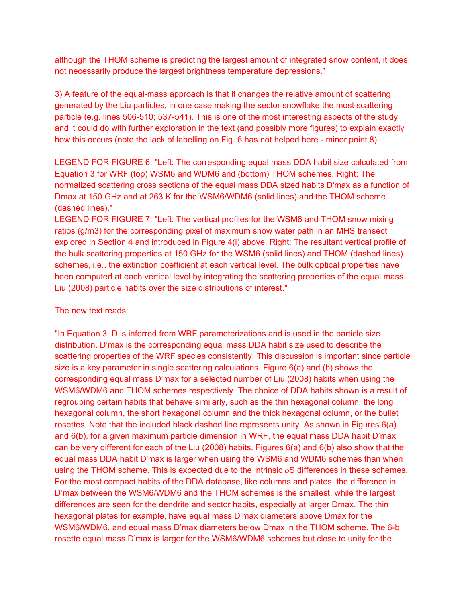although the THOM scheme is predicting the largest amount of integrated snow content, it does not necessarily produce the largest brightness temperature depressions."

3) A feature of the equal-mass approach is that it changes the relative amount of scattering generated by the Liu particles, in one case making the sector snowflake the most scattering particle (e.g. lines 506-510; 537-541). This is one of the most interesting aspects of the study and it could do with further exploration in the text (and possibly more figures) to explain exactly how this occurs (note the lack of labelling on Fig. 6 has not helped here - minor point 8).

LEGEND FOR FIGURE 6: "Left: The corresponding equal mass DDA habit size calculated from Equation 3 for WRF (top) WSM6 and WDM6 and (bottom) THOM schemes. Right: The normalized scattering cross sections of the equal mass DDA sized habits D'max as a function of Dmax at 150 GHz and at 263 K for the WSM6/WDM6 (solid lines) and the THOM scheme (dashed lines)."

LEGEND FOR FIGURE 7: "Left: The vertical profiles for the WSM6 and THOM snow mixing ratios (g/m3) for the corresponding pixel of maximum snow water path in an MHS transect explored in Section 4 and introduced in Figure 4(i) above. Right: The resultant vertical profile of the bulk scattering properties at 150 GHz for the WSM6 (solid lines) and THOM (dashed lines) schemes, i.e., the extinction coefficient at each vertical level. The bulk optical properties have been computed at each vertical level by integrating the scattering properties of the equal mass Liu (2008) particle habits over the size distributions of interest."

The new text reads:

"In Equation 3, D is inferred from WRF parameterizations and is used in the particle size distribution. D'max is the corresponding equal mass DDA habit size used to describe the scattering properties of the WRF species consistently. This discussion is important since particle size is a key parameter in single scattering calculations. Figure 6(a) and (b) shows the corresponding equal mass D'max for a selected number of Liu (2008) habits when using the WSM6/WDM6 and THOM schemes respectively. The choice of DDA habits shown is a result of regrouping certain habits that behave similarly, such as the thin hexagonal column, the long hexagonal column, the short hexagonal column and the thick hexagonal column, or the bullet rosettes. Note that the included black dashed line represents unity. As shown in Figures 6(a) and 6(b), for a given maximum particle dimension in WRF, the equal mass DDA habit D'max can be very different for each of the Liu (2008) habits. Figures 6(a) and 6(b) also show that the equal mass DDA habit D'max is larger when using the WSM6 and WDM6 schemes than when using the THOM scheme. This is expected due to the intrinsic  $\rho S$  differences in these schemes. For the most compact habits of the DDA database, like columns and plates, the difference in D'max between the WSM6/WDM6 and the THOM schemes is the smallest, while the largest differences are seen for the dendrite and sector habits, especially at larger Dmax. The thin hexagonal plates for example, have equal mass D'max diameters above Dmax for the WSM6/WDM6, and equal mass D'max diameters below Dmax in the THOM scheme. The 6-b rosette equal mass D'max is larger for the WSM6/WDM6 schemes but close to unity for the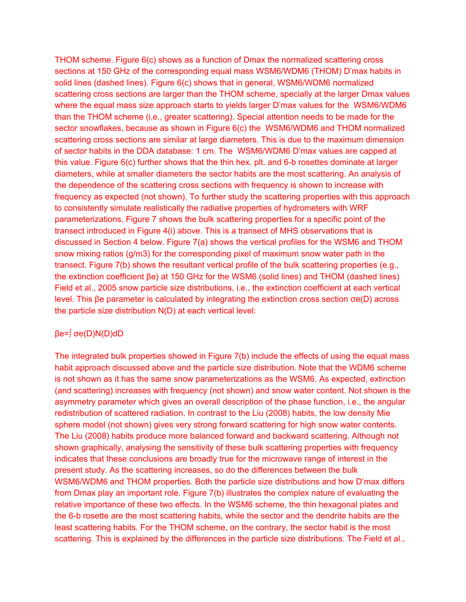THOM scheme. Figure 6(c) shows as a function of Dmax the normalized scattering cross sections at 150 GHz of the corresponding equal mass WSM6/WDM6 (THOM) D'max habits in solid lines (dashed lines). Figure 6(c) shows that in general, WSM6/WDM6 normalized scattering cross sections are larger than the THOM scheme, specially at the larger Dmax values where the equal mass size approach starts to yields larger D'max values for the WSM6/WDM6 than the THOM scheme (i.e., greater scattering). Special attention needs to be made for the sector snowflakes, because as shown in Figure 6(c) the WSM6/WDM6 and THOM normalized scattering cross sections are similar at large diameters. This is due to the maximum dimension of sector habits in the DDA database: 1 cm. The WSM6/WDM6 D'max values are capped at this value. Figure 6(c) further shows that the thin hex. plt. and 6-b rosettes dominate at larger diameters, while at smaller diameters the sector habits are the most scattering. An analysis of the dependence of the scattering cross sections with frequency is shown to increase with frequency as expected (not shown). To further study the scattering properties with this approach to consistently simulate realistically the radiative properties of hydrometers with WRF parameterizations, Figure 7 shows the bulk scattering properties for a specific point of the transect introduced in Figure 4(i) above. This is a transect of MHS observations that is discussed in Section 4 below. Figure 7(a) shows the vertical profiles for the WSM6 and THOM snow mixing ratios (g/m3) for the corresponding pixel of maximum snow water path in the transect. Figure 7(b) shows the resultant vertical profile of the bulk scattering properties (e.g., the extinction coefficient βe) at 150 GHz for the WSM6 (solid lines) and THOM (dashed lines) Field et al., 2005 snow particle size distributions, i.e., the extinction coefficient at each vertical level. This βe parameter is calculated by integrating the extinction cross section σe(D) across the particle size distribution N(D) at each vertical level:

## βe=∫ σe(D)N(D)dD

The integrated bulk properties showed in Figure 7(b) include the effects of using the equal mass habit approach discussed above and the particle size distribution. Note that the WDM6 scheme is not shown as it has the same snow parameterizations as the WSM6. As expected, extinction (and scattering) increases with frequency (not shown) and snow water content. Not shown is the asymmetry parameter which gives an overall description of the phase function, i.e., the angular redistribution of scattered radiation. In contrast to the Liu (2008) habits, the low density Mie sphere model (not shown) gives very strong forward scattering for high snow water contents. The Liu (2008) habits produce more balanced forward and backward scattering. Although not shown graphically, analysing the sensitivity of these bulk scattering properties with frequency indicates that these conclusions are broadly true for the microwave range of interest in the present study. As the scattering increases, so do the differences between the bulk WSM6/WDM6 and THOM properties. Both the particle size distributions and how D'max differs from Dmax play an important role. Figure 7(b) illustrates the complex nature of evaluating the relative importance of these two effects. In the WSM6 scheme, the thin hexagonal plates and the 6-b rosette are the most scattering habits, while the sector and the dendrite habits are the least scattering habits. For the THOM scheme, on the contrary, the sector habit is the most scattering. This is explained by the differences in the particle size distributions. The Field et al.,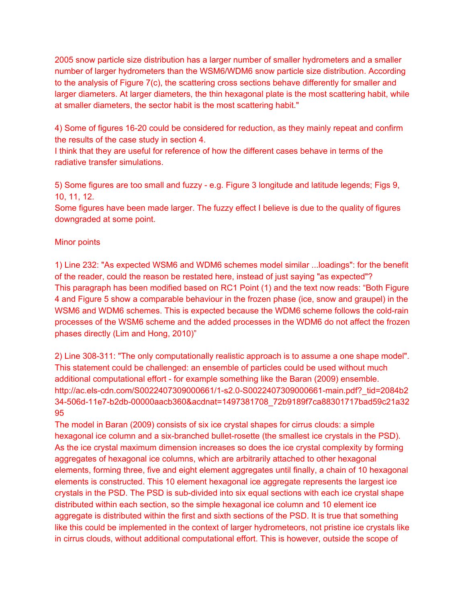2005 snow particle size distribution has a larger number of smaller hydrometers and a smaller number of larger hydrometers than the WSM6/WDM6 snow particle size distribution. According to the analysis of Figure 7(c), the scattering cross sections behave differently for smaller and larger diameters. At larger diameters, the thin hexagonal plate is the most scattering habit, while at smaller diameters, the sector habit is the most scattering habit."

4) Some of figures 16-20 could be considered for reduction, as they mainly repeat and confirm the results of the case study in section 4.

I think that they are useful for reference of how the different cases behave in terms of the radiative transfer simulations.

5) Some figures are too small and fuzzy - e.g. Figure 3 longitude and latitude legends; Figs 9, 10, 11, 12.

Some figures have been made larger. The fuzzy effect I believe is due to the quality of figures downgraded at some point.

## Minor points

1) Line 232: "As expected WSM6 and WDM6 schemes model similar ...loadings": for the benefit of the reader, could the reason be restated here, instead of just saying "as expected"? This paragraph has been modified based on RC1 Point (1) and the text now reads: "Both Figure 4 and Figure 5 show a comparable behaviour in the frozen phase (ice, snow and graupel) in the WSM6 and WDM6 schemes. This is expected because the WDM6 scheme follows the cold-rain processes of the WSM6 scheme and the added processes in the WDM6 do not affect the frozen phases directly (Lim and Hong, 2010)"

2) Line 308-311: "The only computationally realistic approach is to assume a one shape model". This statement could be challenged: an ensemble of particles could be used without much additional computational effort - for example something like the Baran (2009) ensemble. http://ac.els-cdn.com/S0022407309000661/1-s2.0-S0022407309000661-main.pdf?\_tid=2084b2 34-506d-11e7-b2db-00000aacb360&acdnat=1497381708\_72b9189f7ca88301717bad59c21a32 95

The model in Baran (2009) consists of six ice crystal shapes for cirrus clouds: a simple hexagonal ice column and a six-branched bullet-rosette (the smallest ice crystals in the PSD). As the ice crystal maximum dimension increases so does the ice crystal complexity by forming aggregates of hexagonal ice columns, which are arbitrarily attached to other hexagonal elements, forming three, five and eight element aggregates until finally, a chain of 10 hexagonal elements is constructed. This 10 element hexagonal ice aggregate represents the largest ice crystals in the PSD. The PSD is sub-divided into six equal sections with each ice crystal shape distributed within each section, so the simple hexagonal ice column and 10 element ice aggregate is distributed within the first and sixth sections of the PSD. It is true that something like this could be implemented in the context of larger hydrometeors, not pristine ice crystals like in cirrus clouds, without additional computational effort. This is however, outside the scope of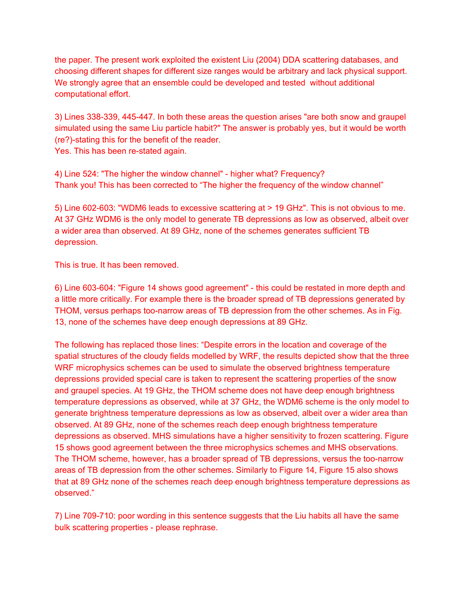the paper. The present work exploited the existent Liu (2004) DDA scattering databases, and choosing different shapes for different size ranges would be arbitrary and lack physical support. We strongly agree that an ensemble could be developed and tested without additional computational effort.

3) Lines 338-339, 445-447. In both these areas the question arises "are both snow and graupel simulated using the same Liu particle habit?" The answer is probably yes, but it would be worth (re?)-stating this for the benefit of the reader. Yes. This has been re-stated again.

4) Line 524: "The higher the window channel" - higher what? Frequency? Thank you! This has been corrected to "The higher the frequency of the window channel"

5) Line 602-603: "WDM6 leads to excessive scattering at > 19 GHz". This is not obvious to me. At 37 GHz WDM6 is the only model to generate TB depressions as low as observed, albeit over a wider area than observed. At 89 GHz, none of the schemes generates sufficient TB depression.

This is true. It has been removed.

6) Line 603-604: "Figure 14 shows good agreement" - this could be restated in more depth and a little more critically. For example there is the broader spread of TB depressions generated by THOM, versus perhaps too-narrow areas of TB depression from the other schemes. As in Fig. 13, none of the schemes have deep enough depressions at 89 GHz.

The following has replaced those lines: "Despite errors in the location and coverage of the spatial structures of the cloudy fields modelled by WRF, the results depicted show that the three WRF microphysics schemes can be used to simulate the observed brightness temperature depressions provided special care is taken to represent the scattering properties of the snow and graupel species. At 19 GHz, the THOM scheme does not have deep enough brightness temperature depressions as observed, while at 37 GHz, the WDM6 scheme is the only model to generate brightness temperature depressions as low as observed, albeit over a wider area than observed. At 89 GHz, none of the schemes reach deep enough brightness temperature depressions as observed. MHS simulations have a higher sensitivity to frozen scattering. Figure 15 shows good agreement between the three microphysics schemes and MHS observations. The THOM scheme, however, has a broader spread of TB depressions, versus the too-narrow areas of TB depression from the other schemes. Similarly to Figure 14, Figure 15 also shows that at 89 GHz none of the schemes reach deep enough brightness temperature depressions as observed."

7) Line 709-710: poor wording in this sentence suggests that the Liu habits all have the same bulk scattering properties - please rephrase.